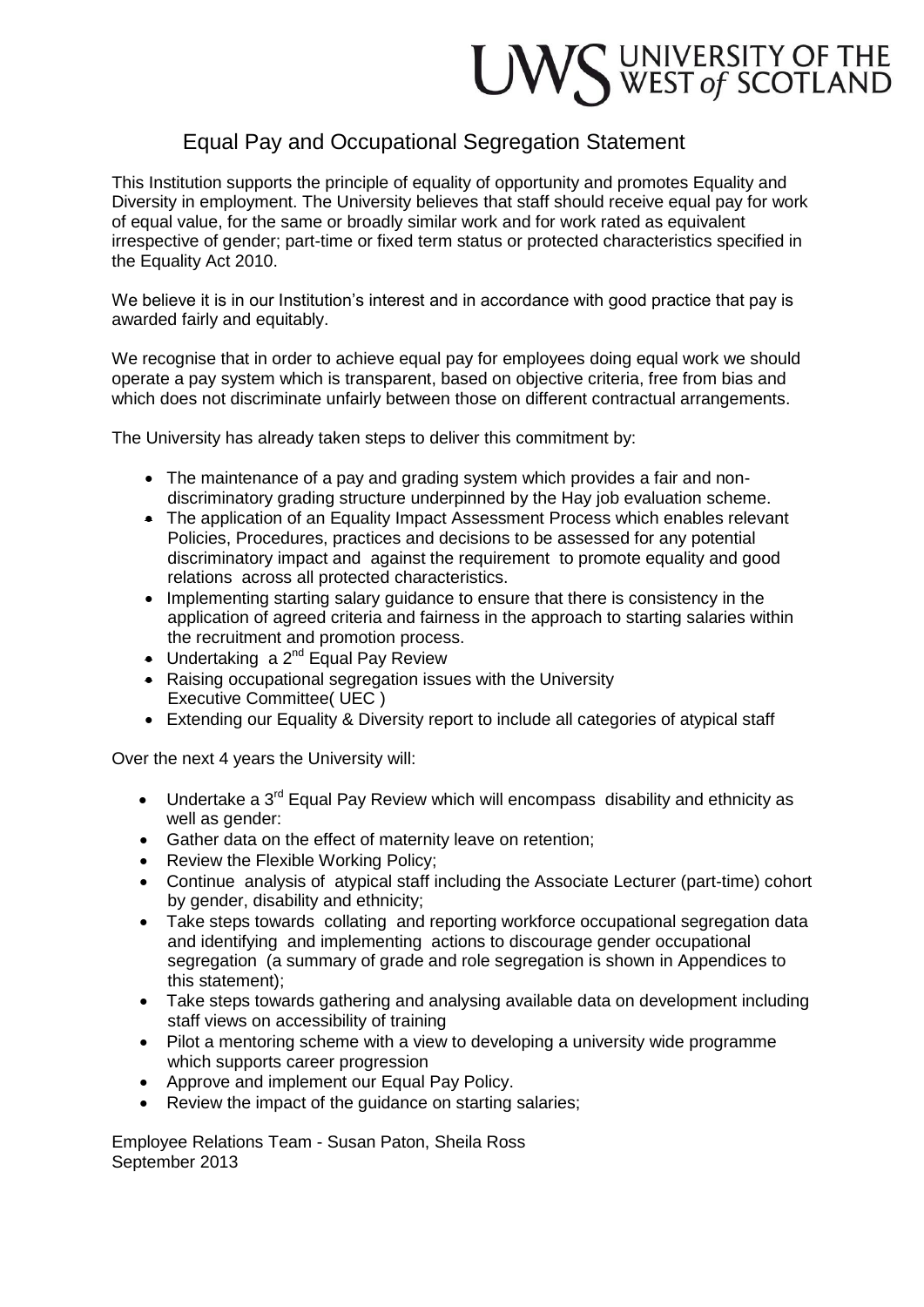## UWS UNIVERSITY OF THE WEST of SCOTLAND

## Equal Pay and Occupational Segregation Statement

This Institution supports the principle of equality of opportunity and promotes Equality and Diversity in employment. The University believes that staff should receive equal pay for work of equal value, for the same or broadly similar work and for work rated as equivalent irrespective of gender; part-time or fixed term status or protected characteristics specified in the Equality Act 2010.

We believe it is in our Institution's interest and in accordance with good practice that pay is awarded fairly and equitably.

We recognise that in order to achieve equal pay for employees doing equal work we should operate a pay system which is transparent, based on objective criteria, free from bias and which does not discriminate unfairly between those on different contractual arrangements.

The University has already taken steps to deliver this commitment by:

- The maintenance of a pay and grading system which provides a fair and nondiscriminatory grading structure underpinned by the Hay job evaluation scheme.
- The application of an Equality Impact Assessment Process which enables relevant Policies, Procedures, practices and decisions to be assessed for any potential discriminatory impact and against the requirement to promote equality and good relations across all protected characteristics.
- Implementing starting salary guidance to ensure that there is consistency in the application of agreed criteria and fairness in the approach to starting salaries within the recruitment and promotion process.
- $\bullet$  Undertaking a 2<sup>nd</sup> Equal Pay Review
- Raising occupational segregation issues with the University Executive Committee( UEC )
- Extending our Equality & Diversity report to include all categories of atypical staff

Over the next 4 years the University will:

- Undertake a  $3^{rd}$  Equal Pay Review which will encompass disability and ethnicity as well as gender:
- Gather data on the effect of maternity leave on retention;
- Review the Flexible Working Policy:
- Continue analysis of atypical staff including the Associate Lecturer (part-time) cohort by gender, disability and ethnicity;
- Take steps towards collating and reporting workforce occupational segregation data and identifying and implementing actions to discourage gender occupational segregation (a summary of grade and role segregation is shown in Appendices to this statement);
- Take steps towards gathering and analysing available data on development including staff views on accessibility of training
- Pilot a mentoring scheme with a view to developing a university wide programme which supports career progression
- Approve and implement our Equal Pay Policy.
- Review the impact of the quidance on starting salaries;

Employee Relations Team - Susan Paton, Sheila Ross September 2013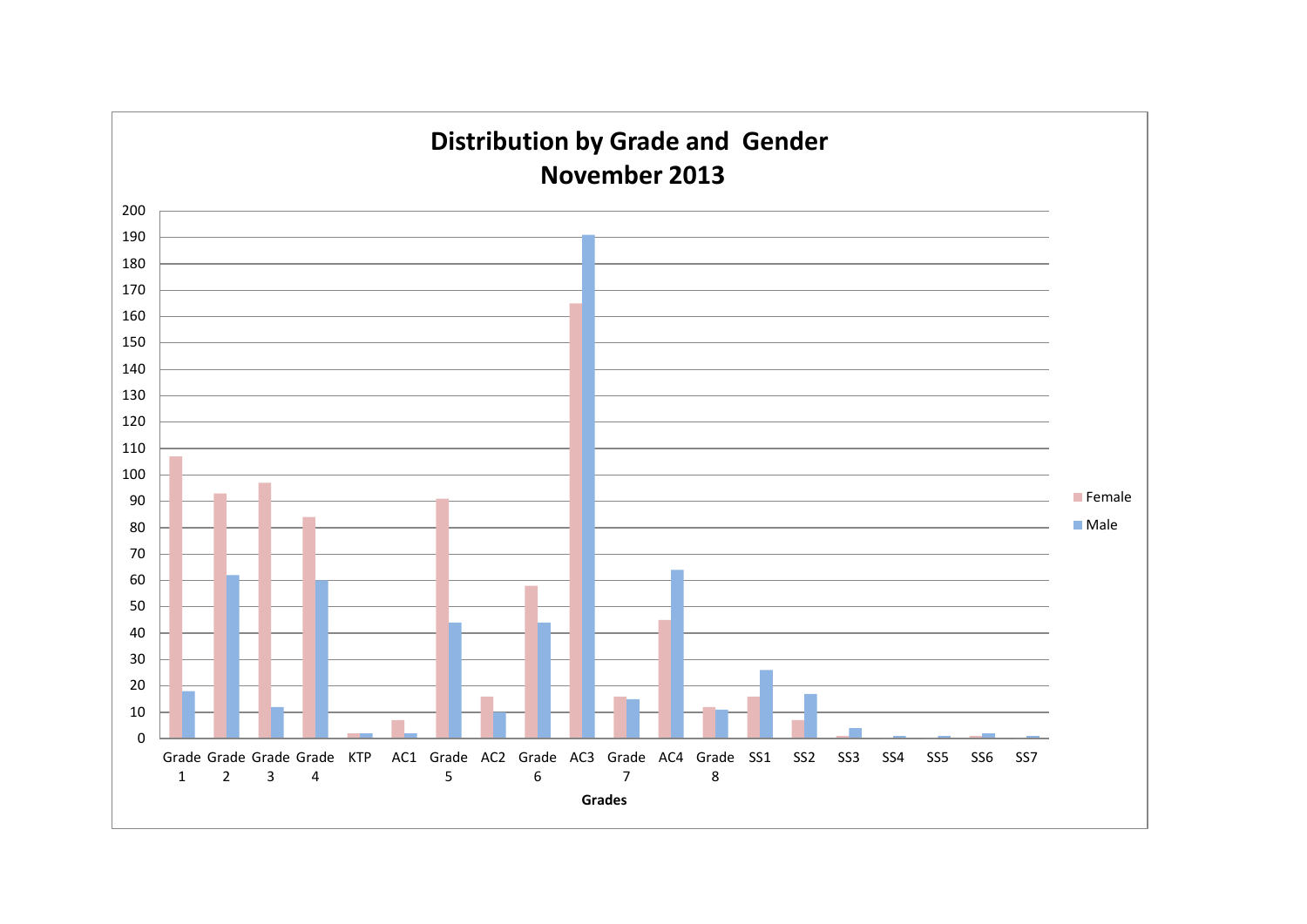